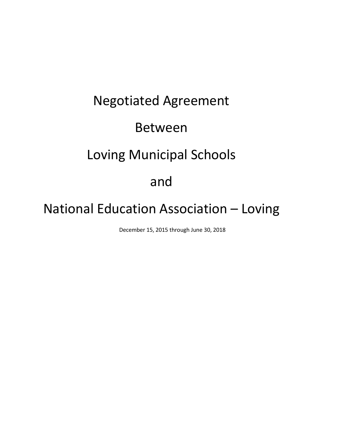# Negotiated Agreement Between Loving Municipal Schools and

# National Education Association – Loving

December 15, 2015 through June 30, 2018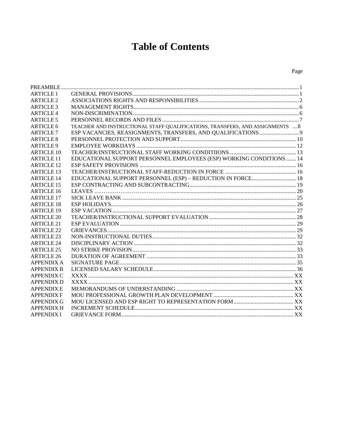# **Table of Contents**

#### Page

| <b>ARTICLE 1</b>     |                                                                               |  |
|----------------------|-------------------------------------------------------------------------------|--|
| <b>ARTICLE 2</b>     |                                                                               |  |
| ARTICLE <sub>3</sub> |                                                                               |  |
| <b>ARTICLE 4</b>     |                                                                               |  |
| <b>ARTICLE 5</b>     |                                                                               |  |
| ARTICLE 6            | TEACHER AND INSTRUCTIONAL STAFF QUALIFICATIONS, TRANSFERS, AND ASSIGNMENTS  8 |  |
| <b>ARTICLE 7</b>     |                                                                               |  |
| ARTICLE 8            |                                                                               |  |
| <b>ARTICLE 9</b>     |                                                                               |  |
| <b>ARTICLE 10</b>    |                                                                               |  |
| <b>ARTICLE 11</b>    | EDUCATIONAL SUPPORT PERSONNEL EMPLOYEES (ESP) WORKING CONDITIONS  14          |  |
| <b>ARTICLE 12</b>    |                                                                               |  |
| <b>ARTICLE 13</b>    |                                                                               |  |
| <b>ARTICLE 14</b>    | EDUCATIONAL SUPPORT PERSONNEL (ESP) - REDUCTION IN FORCE 18                   |  |
| <b>ARTICLE 15</b>    |                                                                               |  |
| <b>ARTICLE 16</b>    |                                                                               |  |
| <b>ARTICLE 17</b>    |                                                                               |  |
| <b>ARTICLE 18</b>    |                                                                               |  |
| <b>ARTICLE 19</b>    |                                                                               |  |
| ARTICLE 20           |                                                                               |  |
| <b>ARTICLE 21</b>    |                                                                               |  |
| <b>ARTICLE 22</b>    |                                                                               |  |
| <b>ARTICLE 23</b>    |                                                                               |  |
| <b>ARTICLE 24</b>    |                                                                               |  |
| <b>ARTICLE 25</b>    |                                                                               |  |
| <b>ARTICLE 26</b>    |                                                                               |  |
| <b>APPENDIX A</b>    |                                                                               |  |
| <b>APPENDIX B</b>    |                                                                               |  |
| <b>APPENDIX C</b>    |                                                                               |  |
| <b>APPENDIX D</b>    |                                                                               |  |
| <b>APPENDIX E</b>    |                                                                               |  |
| <b>APPENDIX F</b>    |                                                                               |  |
| <b>APPENDIX G</b>    |                                                                               |  |
| <b>APPENDIX H</b>    |                                                                               |  |
| <b>APPENDIX I</b>    |                                                                               |  |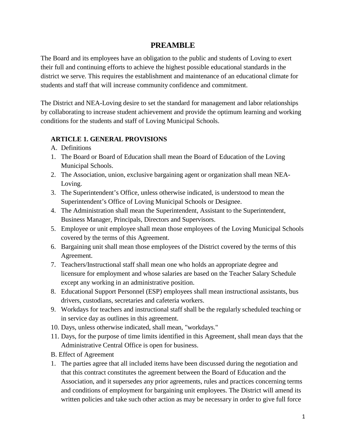# **PREAMBLE**

The Board and its employees have an obligation to the public and students of Loving to exert their full and continuing efforts to achieve the highest possible educational standards in the district we serve. This requires the establishment and maintenance of an educational climate for students and staff that will increase community confidence and commitment.

The District and NEA-Loving desire to set the standard for management and labor relationships by collaborating to increase student achievement and provide the optimum learning and working conditions for the students and staff of Loving Municipal Schools.

# **ARTICLE 1. GENERAL PROVISIONS**

- A. Definitions
- 1. The Board or Board of Education shall mean the Board of Education of the Loving Municipal Schools.
- 2. The Association, union, exclusive bargaining agent or organization shall mean NEA-Loving.
- 3. The Superintendent's Office, unless otherwise indicated, is understood to mean the Superintendent's Office of Loving Municipal Schools or Designee.
- 4. The Administration shall mean the Superintendent, Assistant to the Superintendent, Business Manager, Principals, Directors and Supervisors.
- 5. Employee or unit employee shall mean those employees of the Loving Municipal Schools covered by the terms of this Agreement.
- 6. Bargaining unit shall mean those employees of the District covered by the terms of this Agreement.
- 7. Teachers/Instructional staff shall mean one who holds an appropriate degree and licensure for employment and whose salaries are based on the Teacher Salary Schedule except any working in an administrative position.
- 8. Educational Support Personnel (ESP) employees shall mean instructional assistants, bus drivers, custodians, secretaries and cafeteria workers.
- 9. Workdays for teachers and instructional staff shall be the regularly scheduled teaching or in service day as outlines in this agreement.
- 10. Days, unless otherwise indicated, shall mean, "workdays."
- 11. Days, for the purpose of time limits identified in this Agreement, shall mean days that the Administrative Central Office is open for business.
- B. Effect of Agreement
- 1. The parties agree that all included items have been discussed during the negotiation and that this contract constitutes the agreement between the Board of Education and the Association, and it supersedes any prior agreements, rules and practices concerning terms and conditions of employment for bargaining unit employees. The District will amend its written policies and take such other action as may be necessary in order to give full force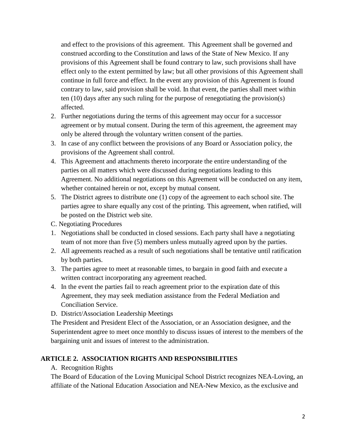and effect to the provisions of this agreement. This Agreement shall be governed and construed according to the Constitution and laws of the State of New Mexico. If any provisions of this Agreement shall be found contrary to law, such provisions shall have effect only to the extent permitted by law; but all other provisions of this Agreement shall continue in full force and effect. In the event any provision of this Agreement is found contrary to law, said provision shall be void. In that event, the parties shall meet within ten (10) days after any such ruling for the purpose of renegotiating the provision(s) affected.

- 2. Further negotiations during the terms of this agreement may occur for a successor agreement or by mutual consent. During the term of this agreement, the agreement may only be altered through the voluntary written consent of the parties.
- 3. In case of any conflict between the provisions of any Board or Association policy, the provisions of the Agreement shall control.
- 4. This Agreement and attachments thereto incorporate the entire understanding of the parties on all matters which were discussed during negotiations leading to this Agreement. No additional negotiations on this Agreement will be conducted on any item, whether contained herein or not, except by mutual consent.
- 5. The District agrees to distribute one (1) copy of the agreement to each school site. The parties agree to share equally any cost of the printing. This agreement, when ratified, will be posted on the District web site.
- C. Negotiating Procedures
- 1. Negotiations shall be conducted in closed sessions. Each party shall have a negotiating team of not more than five (5) members unless mutually agreed upon by the parties.
- 2. All agreements reached as a result of such negotiations shall be tentative until ratification by both parties.
- 3. The parties agree to meet at reasonable times, to bargain in good faith and execute a written contract incorporating any agreement reached.
- 4. In the event the parties fail to reach agreement prior to the expiration date of this Agreement, they may seek mediation assistance from the Federal Mediation and Conciliation Service.
- D. District/Association Leadership Meetings

The President and President Elect of the Association, or an Association designee, and the Superintendent agree to meet once monthly to discuss issues of interest to the members of the bargaining unit and issues of interest to the administration.

# **ARTICLE 2. ASSOCIATION RIGHTS AND RESPONSIBILITIES**

#### A. Recognition Rights

The Board of Education of the Loving Municipal School District recognizes NEA-Loving, an affiliate of the National Education Association and NEA-New Mexico, as the exclusive and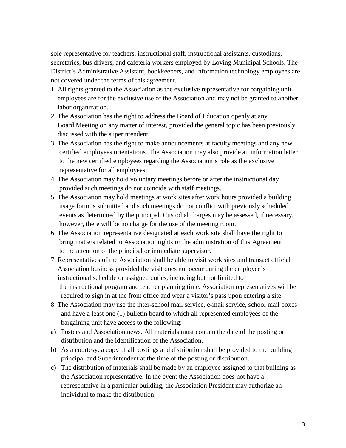sole representative for teachers, instructional staff, instructional assistants, custodians, secretaries, bus drivers, and cafeteria workers employed by Loving Municipal Schools. The District's Administrative Assistant, bookkeepers, and information technology employees are not covered under the terms of this agreement.

- 1. All rights granted to the Association as the exclusive representative for bargaining unit employees are for the exclusive use of the Association and may not be granted to another labor organization.
- 2. The Association has the right to address the Board of Education openly at any Board Meeting on any matter of interest, provided the general topic has been previously discussed with the superintendent.
- 3. The Association has the right to make announcements at faculty meetings and any new certified employees orientations. The Association may also provide an information letter to the new certified employees regarding the Association's role as the exclusive representative for all employees.
- 4. The Association may hold voluntary meetings before or after the instructional day provided such meetings do not coincide with staff meetings.
- 5. The Association may hold meetings at work sites after work hours provided a building usage form is submitted and such meetings do not conflict with previously scheduled events as determined by the principal. Custodial charges may be assessed, if necessary, however, there will be no charge for the use of the meeting room.
- 6. The Association representative designated at each work site shall have the right to bring matters related to Association rights or the administration of this Agreement to the attention of the principal or immediate supervisor.
- 7. Representatives of the Association shall be able to visit work sites and transact official Association business provided the visit does not occur during the employee's instructional schedule or assigned duties, including but not limited to the instructional program and teacher planning time. Association representatives will be required to sign in at the front office and wear a visitor's pass upon entering a site.
- 8. The Association may use the inter-school mail service, e-mail service, school mail boxes and have a least one (1) bulletin board to which all represented employees of the bargaining unit have access to the following:
- a) Posters and Association news. All materials must contain the date of the posting or distribution and the identification of the Association.
- b) As a courtesy, a copy of all postings and distribution shall be provided to the building principal and Superintendent at the time of the posting or distribution.
- c) The distribution of materials shall be made by an employee assigned to that building as the Association representative. In the event the Association does not have a representative in a particular building, the Association President may authorize an individual to make the distribution.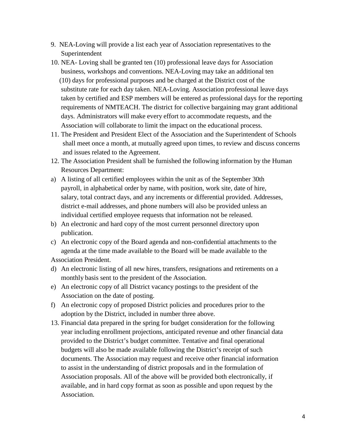- 9. NEA-Loving will provide a list each year of Association representatives to the Superintendent
- 10. NEA- Loving shall be granted ten (10) professional leave days for Association business, workshops and conventions. NEA-Loving may take an additional ten (10) days for professional purposes and be charged at the District cost of the substitute rate for each day taken. NEA-Loving. Association professional leave days taken by certified and ESP members will be entered as professional days for the reporting requirements of NMTEACH. The district for collective bargaining may grant additional days. Administrators will make every effort to accommodate requests, and the Association will collaborate to limit the impact on the educational process.
- 11. The President and President Elect of the Association and the Superintendent of Schools shall meet once a month, at mutually agreed upon times, to review and discuss concerns and issues related to the Agreement.
- 12. The Association President shall be furnished the following information by the Human Resources Department:
- a) A listing of all certified employees within the unit as of the September 30th payroll, in alphabetical order by name, with position, work site, date of hire, salary, total contract days, and any increments or differential provided. Addresses, district e-mail addresses, and phone numbers will also be provided unless an individual certified employee requests that information not be released.
- b) An electronic and hard copy of the most current personnel directory upon publication.
- c) An electronic copy of the Board agenda and non-confidential attachments to the agenda at the time made available to the Board will be made available to the

Association President.

- d) An electronic listing of all new hires, transfers, resignations and retirements on a monthly basis sent to the president of the Association.
- e) An electronic copy of all District vacancy postings to the president of the Association on the date of posting.
- f) An electronic copy of proposed District policies and procedures prior to the adoption by the District, included in number three above.
- 13. Financial data prepared in the spring for budget consideration for the following year including enrollment projections, anticipated revenue and other financial data provided to the District's budget committee. Tentative and final operational budgets will also be made available following the District's receipt of such documents. The Association may request and receive other financial information to assist in the understanding of district proposals and in the formulation of Association proposals. All of the above will be provided both electronically, if available, and in hard copy format as soon as possible and upon request by the Association.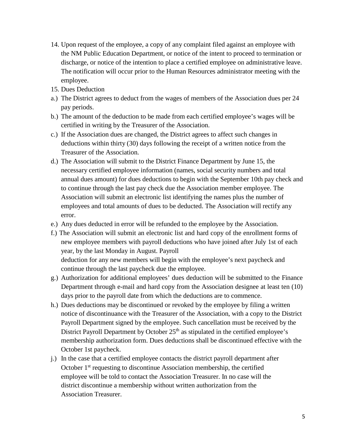- 14. Upon request of the employee, a copy of any complaint filed against an employee with the NM Public Education Department, or notice of the intent to proceed to termination or discharge, or notice of the intention to place a certified employee on administrative leave. The notification will occur prior to the Human Resources administrator meeting with the employee.
- 15. Dues Deduction
- a.) The District agrees to deduct from the wages of members of the Association dues per 24 pay periods.
- b.) The amount of the deduction to be made from each certified employee's wages will be certified in writing by the Treasurer of the Association.
- c.) If the Association dues are changed, the District agrees to affect such changes in deductions within thirty (30) days following the receipt of a written notice from the Treasurer of the Association.
- d.) The Association will submit to the District Finance Department by June 15, the necessary certified employee information (names, social security numbers and total annual dues amount) for dues deductions to begin with the September 10th pay check and to continue through the last pay check due the Association member employee. The Association will submit an electronic list identifying the names plus the number of employees and total amounts of dues to be deducted. The Association will rectify any error.
- e.) Any dues deducted in error will be refunded to the employee by the Association.
- f.) The Association will submit an electronic list and hard copy of the enrollment forms of new employee members with payroll deductions who have joined after July 1st of each year, by the last Monday in August. Payroll deduction for any new members will begin with the employee's next paycheck and continue through the last paycheck due the employee.
- g.) Authorization for additional employees' dues deduction will be submitted to the Finance Department through e-mail and hard copy from the Association designee at least ten (10) days prior to the payroll date from which the deductions are to commence.
- h.) Dues deductions may be discontinued or revoked by the employee by filing a written notice of discontinuance with the Treasurer of the Association, with a copy to the District Payroll Department signed by the employee. Such cancellation must be received by the District Payroll Department by October  $25<sup>th</sup>$  as stipulated in the certified employee's membership authorization form. Dues deductions shall be discontinued effective with the October 1st paycheck.
- j.) In the case that a certified employee contacts the district payroll department after October  $1<sup>st</sup>$  requesting to discontinue Association membership, the certified employee will be told to contact the Association Treasurer. In no case will the district discontinue a membership without written authorization from the Association Treasurer.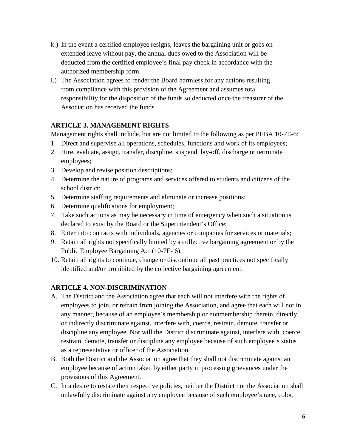- k.) In the event a certified employee resigns, leaves the bargaining unit or goes on extended leave without pay, the annual dues owed to the Association will be deducted from the certified employee's final pay check in accordance with the authorized membership form.
- l.) The Association agrees to render the Board harmless for any actions resulting from compliance with this provision of the Agreement and assumes total responsibility for the disposition of the funds so deducted once the treasurer of the Association has received the funds.

#### **ARTICLE 3. MANAGEMENT RIGHTS**

Management rights shall include, but are not limited to the following as per PEBA 10-7E-6:

- 1. Direct and supervise all operations, schedules, functions and work of its employees;
- 2. Hire, evaluate, assign, transfer, discipline, suspend, lay-off, discharge or terminate employees;
- 3. Develop and revise position descriptions;
- 4. Determine the nature of programs and services offered to students and citizens of the school district;
- 5. Determine staffing requirements and eliminate or increase positions;
- 6. Determine qualifications for employment;
- 7. Take such actions as may be necessary in time of emergency when such a situation is declared to exist by the Board or the Superintendent's Office;
- 8. Enter into contracts with individuals, agencies or companies for services or materials;
- 9. Retain all rights not specifically limited by a collective bargaining agreement or by the Public Employee Bargaining Act (10-7E- 6);
- 10. Retain all rights to continue, change or discontinue all past practices not specifically identified and/or prohibited by the collective bargaining agreement.

# **ARTICLE 4. NON-DISCRIMINATION**

- A. The District and the Association agree that each will not interfere with the rights of employees to join, or refrain from joining the Association, and agree that each will not in any manner, because of an employee's membership or nonmembership therein, directly or indirectly discriminate against, interfere with, coerce, restrain, demote, transfer or discipline any employee. Nor will the District discriminate against, interfere with, coerce, restrain, demote, transfer or discipline any employee because of such employee's status as a representative or officer of the Association.
- B. Both the District and the Association agree that they shall not discriminate against an employee because of action taken by either party in processing grievances under the provisions of this Agreement.
- C. In a desire to restate their respective policies, neither the District nor the Association shall unlawfully discriminate against any employee because of such employee's race, color,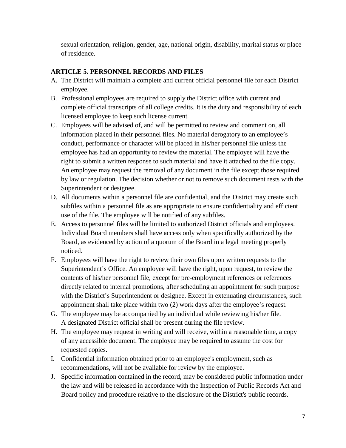sexual orientation, religion, gender, age, national origin, disability, marital status or place of residence.

# **ARTICLE 5. PERSONNEL RECORDS AND FILES**

- A. The District will maintain a complete and current official personnel file for each District employee.
- B. Professional employees are required to supply the District office with current and complete official transcripts of all college credits. It is the duty and responsibility of each licensed employee to keep such license current.
- C. Employees will be advised of, and will be permitted to review and comment on, all information placed in their personnel files. No material derogatory to an employee's conduct, performance or character will be placed in his/her personnel file unless the employee has had an opportunity to review the material. The employee will have the right to submit a written response to such material and have it attached to the file copy. An employee may request the removal of any document in the file except those required by law or regulation. The decision whether or not to remove such document rests with the Superintendent or designee.
- D. All documents within a personnel file are confidential, and the District may create such subfiles within a personnel file as are appropriate to ensure confidentiality and efficient use of the file. The employee will be notified of any subfiles.
- E. Access to personnel files will be limited to authorized District officials and employees. Individual Board members shall have access only when specifically authorized by the Board, as evidenced by action of a quorum of the Board in a legal meeting properly noticed.
- F. Employees will have the right to review their own files upon written requests to the Superintendent's Office. An employee will have the right, upon request, to review the contents of his/her personnel file, except for pre-employment references or references directly related to internal promotions, after scheduling an appointment for such purpose with the District's Superintendent or designee. Except in extenuating circumstances, such appointment shall take place within two (2) work days after the employee's request.
- G. The employee may be accompanied by an individual while reviewing his/her file. A designated District official shall be present during the file review.
- H. The employee may request in writing and will receive, within a reasonable time, a copy of any accessible document. The employee may be required to assume the cost for requested copies.
- I. Confidential information obtained prior to an employee's employment, such as recommendations, will not be available for review by the employee.
- J. Specific information contained in the record, may be considered public information under the law and will be released in accordance with the Inspection of Public Records Act and Board policy and procedure relative to the disclosure of the District's public records.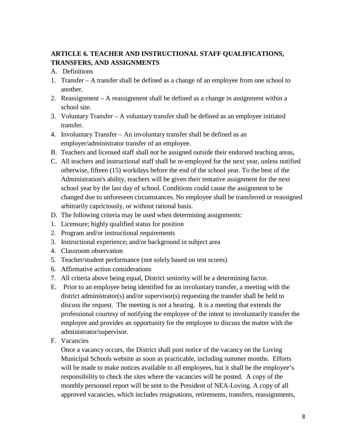# **ARTICLE 6. TEACHER AND INSTRUCTIONAL STAFF QUALIFICATIONS, TRANSFERS, AND ASSIGNMENTS**

- A. Definitions
- 1. Transfer A transfer shall be defined as a change of an employee from one school to another.
- 2. Reassignment A reassignment shall be defined as a change in assignment within a school site.
- 3. Voluntary Transfer A voluntary transfer shall be defined as an employee initiated transfer.
- 4. Involuntary Transfer An involuntary transfer shall be defined as an employer/administrator transfer of an employee.
- B. Teachers and licensed staff shall not be assigned outside their endorsed teaching areas,
- C. All teachers and instructional staff shall be re-employed for the next year, unless notified otherwise, fifteen (15) workdays before the end of the school year. To the best of the Administration's ability, teachers will be given their tentative assignment for the next school year by the last day of school. Conditions could cause the assignment to be changed due to unforeseen circumstances. No employee shall be transferred or reassigned arbitrarily capriciously, or without rational basis.
- D. The following criteria may be used when determining assignments:
- 1. Licensure; highly qualified status for position
- 2. Program and/or instructional requirements
- 3. Instructional experience; and/or background in subject area
- 4. Classroom observation
- 5. Teacher/student performance (not solely based on test scores)
- 6. Affirmative action considerations
- 7. All criteria above being equal, District seniority will be a determining factor.
- E. Prior to an employee being identified for an involuntary transfer, a meeting with the district administrator(s) and/or supervisor(s) requesting the transfer shall be held to discuss the request. The meeting is not a hearing. It is a meeting that extends the professional courtesy of notifying the employee of the intent to involuntarily transfer the employee and provides an opportunity for the employee to discuss the matter with the administrator/supervisor.
- F. Vacancies

Once a vacancy occurs, the District shall post notice of the vacancy on the Loving Municipal Schools website as soon as practicable, including summer months. Efforts will be made to make notices available to all employees, but it shall be the employee's responsibility to check the sites where the vacancies will be posted. A copy of the monthly personnel report will be sent to the President of NEA-Loving. A copy of all approved vacancies, which includes resignations, retirements, transfers, reassignments,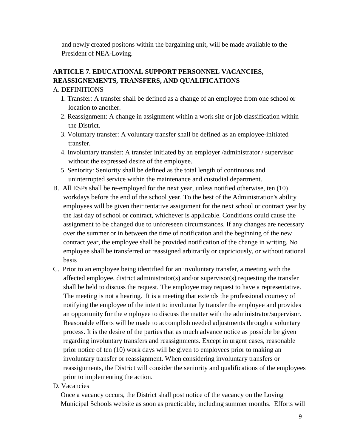and newly created positons within the bargaining unit, will be made available to the President of NEA-Loving.

# **ARTICLE 7. EDUCATIONAL SUPPORT PERSONNEL VACANCIES, REASSIGNEMENTS, TRANSFERS, AND QUALIFICATIONS**

#### A. DEFINITIONS

- 1. Transfer: A transfer shall be defined as a change of an employee from one school or location to another.
- 2. Reassignment: A change in assignment within a work site or job classification within the District.
- 3. Voluntary transfer: A voluntary transfer shall be defined as an employee-initiated transfer.
- 4. Involuntary transfer: A transfer initiated by an employer /administrator / supervisor without the expressed desire of the employee.
- 5. Seniority: Seniority shall be defined as the total length of continuous and uninterrupted service within the maintenance and custodial department.
- B. All ESPs shall be re-employed for the next year, unless notified otherwise, ten (10) workdays before the end of the school year. To the best of the Administration's ability employees will be given their tentative assignment for the next school or contract year by the last day of school or contract, whichever is applicable. Conditions could cause the assignment to be changed due to unforeseen circumstances. If any changes are necessary over the summer or in between the time of notification and the beginning of the new contract year, the employee shall be provided notification of the change in writing. No employee shall be transferred or reassigned arbitrarily or capriciously, or without rational basis
- C. Prior to an employee being identified for an involuntary transfer, a meeting with the affected employee, district administrator(s) and/or supervisor(s) requesting the transfer shall be held to discuss the request. The employee may request to have a representative. The meeting is not a hearing. It is a meeting that extends the professional courtesy of notifying the employee of the intent to involuntarily transfer the employee and provides an opportunity for the employee to discuss the matter with the administrator/supervisor. Reasonable efforts will be made to accomplish needed adjustments through a voluntary process. It is the desire of the parties that as much advance notice as possible be given regarding involuntary transfers and reassignments. Except in urgent cases, reasonable prior notice of ten (10) work days will be given to employees prior to making an involuntary transfer or reassignment. When considering involuntary transfers or reassignments, the District will consider the seniority and qualifications of the employees prior to implementing the action.
- D. Vacancies

Once a vacancy occurs, the District shall post notice of the vacancy on the Loving Municipal Schools website as soon as practicable, including summer months. Efforts will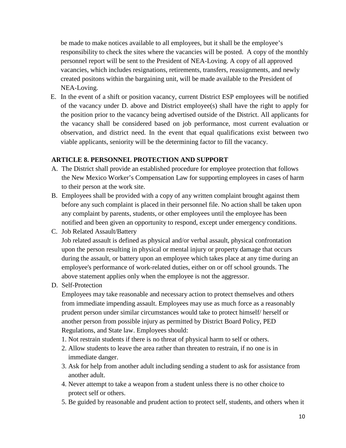be made to make notices available to all employees, but it shall be the employee's responsibility to check the sites where the vacancies will be posted. A copy of the monthly personnel report will be sent to the President of NEA-Loving. A copy of all approved vacancies, which includes resignations, retirements, transfers, reassignments, and newly created positons within the bargaining unit, will be made available to the President of NEA-Loving.

E. In the event of a shift or position vacancy, current District ESP employees will be notified of the vacancy under D. above and District employee(s) shall have the right to apply for the position prior to the vacancy being advertised outside of the District. All applicants for the vacancy shall be considered based on job performance, most current evaluation or observation, and district need. In the event that equal qualifications exist between two viable applicants, seniority will be the determining factor to fill the vacancy.

#### **ARTICLE 8. PERSONNEL PROTECTION AND SUPPORT**

- A. The District shall provide an established procedure for employee protection that follows the New Mexico Worker's Compensation Law for supporting employees in cases of harm to their person at the work site.
- B. Employees shall be provided with a copy of any written complaint brought against them before any such complaint is placed in their personnel file. No action shall be taken upon any complaint by parents, students, or other employees until the employee has been notified and been given an opportunity to respond, except under emergency conditions.
- C. Job Related Assault/Battery

Job related assault is defined as physical and/or verbal assault, physical confrontation upon the person resulting in physical or mental injury or property damage that occurs during the assault, or battery upon an employee which takes place at any time during an employee's performance of work-related duties, either on or off school grounds. The above statement applies only when the employee is not the aggressor.

D. Self-Protection

Employees may take reasonable and necessary action to protect themselves and others from immediate impending assault. Employees may use as much force as a reasonably prudent person under similar circumstances would take to protect himself/ herself or another person from possible injury as permitted by District Board Policy, PED Regulations, and State law. Employees should:

- 1. Not restrain students if there is no threat of physical harm to self or others.
- 2. Allow students to leave the area rather than threaten to restrain, if no one is in immediate danger.
- 3. Ask for help from another adult including sending a student to ask for assistance from another adult.
- 4. Never attempt to take a weapon from a student unless there is no other choice to protect self or others.
- 5. Be guided by reasonable and prudent action to protect self, students, and others when it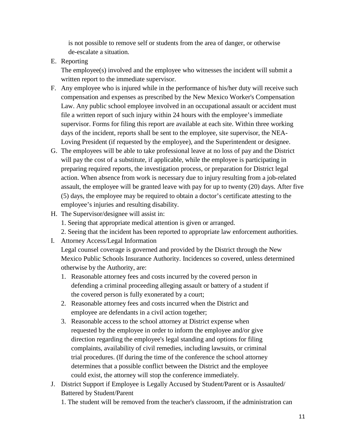is not possible to remove self or students from the area of danger, or otherwise de-escalate a situation.

E. Reporting

The employee(s) involved and the employee who witnesses the incident will submit a written report to the immediate supervisor.

- F. Any employee who is injured while in the performance of his/her duty will receive such compensation and expenses as prescribed by the New Mexico Worker's Compensation Law. Any public school employee involved in an occupational assault or accident must file a written report of such injury within 24 hours with the employee's immediate supervisor. Forms for filing this report are available at each site. Within three working days of the incident, reports shall be sent to the employee, site supervisor, the NEA-Loving President (if requested by the employee), and the Superintendent or designee.
- G. The employees will be able to take professional leave at no loss of pay and the District will pay the cost of a substitute, if applicable, while the employee is participating in preparing required reports, the investigation process, or preparation for District legal action. When absence from work is necessary due to injury resulting from a job-related assault, the employee will be granted leave with pay for up to twenty (20) days. After five (5) days, the employee may be required to obtain a doctor's certificate attesting to the employee's injuries and resulting disability.
- H. The Supervisor/designee will assist in:
	- 1. Seeing that appropriate medical attention is given or arranged.
	- 2. Seeing that the incident has been reported to appropriate law enforcement authorities.
- I. Attorney Access/Legal Information

Legal counsel coverage is governed and provided by the District through the New Mexico Public Schools Insurance Authority. Incidences so covered, unless determined otherwise by the Authority, are:

- 1. Reasonable attorney fees and costs incurred by the covered person in defending a criminal proceeding alleging assault or battery of a student if the covered person is fully exonerated by a court;
- 2. Reasonable attorney fees and costs incurred when the District and employee are defendants in a civil action together;
- 3. Reasonable access to the school attorney at District expense when requested by the employee in order to inform the employee and/or give direction regarding the employee's legal standing and options for filing complaints, availability of civil remedies, including lawsuits, or criminal trial procedures. (If during the time of the conference the school attorney determines that a possible conflict between the District and the employee could exist, the attorney will stop the conference immediately.
- J. District Support if Employee is Legally Accused by Student/Parent or is Assaulted/ Battered by Student/Parent
	- 1. The student will be removed from the teacher's classroom, if the administration can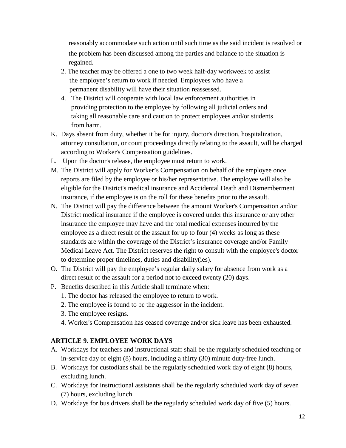reasonably accommodate such action until such time as the said incident is resolved or the problem has been discussed among the parties and balance to the situation is regained.

- 2. The teacher may be offered a one to two week half-day workweek to assist the employee's return to work if needed. Employees who have a permanent disability will have their situation reassessed.
- 4. The District will cooperate with local law enforcement authorities in providing protection to the employee by following all judicial orders and taking all reasonable care and caution to protect employees and/or students from harm.
- K. Days absent from duty, whether it be for injury, doctor's direction, hospitalization, attorney consultation, or court proceedings directly relating to the assault, will be charged according to Worker's Compensation guidelines.
- L. Upon the doctor's release, the employee must return to work.
- M. The District will apply for Worker's Compensation on behalf of the employee once reports are filed by the employee or his/her representative. The employee will also be eligible for the District's medical insurance and Accidental Death and Dismemberment insurance, if the employee is on the roll for these benefits prior to the assault.
- N. The District will pay the difference between the amount Worker's Compensation and/or District medical insurance if the employee is covered under this insurance or any other insurance the employee may have and the total medical expenses incurred by the employee as a direct result of the assault for up to four (4) weeks as long as these standards are within the coverage of the District's insurance coverage and/or Family Medical Leave Act. The District reserves the right to consult with the employee's doctor to determine proper timelines, duties and disability(ies).
- O. The District will pay the employee's regular daily salary for absence from work as a direct result of the assault for a period not to exceed twenty (20) days.
- P. Benefits described in this Article shall terminate when:
	- 1. The doctor has released the employee to return to work.
	- 2. The employee is found to be the aggressor in the incident.
	- 3. The employee resigns.
	- 4. Worker's Compensation has ceased coverage and/or sick leave has been exhausted.

# **ARTICLE 9. EMPLOYEE WORK DAYS**

- A. Workdays for teachers and instructional staff shall be the regularly scheduled teaching or in-service day of eight (8) hours, including a thirty (30) minute duty-free lunch.
- B. Workdays for custodians shall be the regularly scheduled work day of eight (8) hours, excluding lunch.
- C. Workdays for instructional assistants shall be the regularly scheduled work day of seven (7) hours, excluding lunch.
- D. Workdays for bus drivers shall be the regularly scheduled work day of five (5) hours.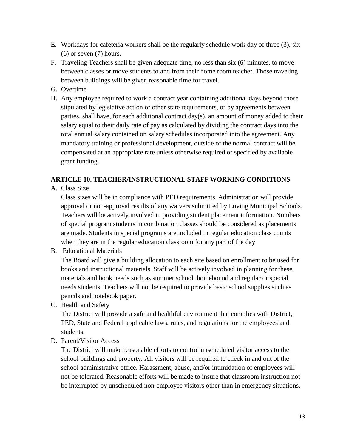- E. Workdays for cafeteria workers shall be the regularly schedule work day of three (3), six  $(6)$  or seven  $(7)$  hours.
- F. Traveling Teachers shall be given adequate time, no less than six (6) minutes, to move between classes or move students to and from their home room teacher. Those traveling between buildings will be given reasonable time for travel.
- G. Overtime
- H. Any employee required to work a contract year containing additional days beyond those stipulated by legislative action or other state requirements, or by agreements between parties, shall have, for each additional contract day(s), an amount of money added to their salary equal to their daily rate of pay as calculated by dividing the contract days into the total annual salary contained on salary schedules incorporated into the agreement. Any mandatory training or professional development, outside of the normal contract will be compensated at an appropriate rate unless otherwise required or specified by available grant funding.

# **ARTICLE 10. TEACHER/INSTRUCTIONAL STAFF WORKING CONDITIONS**

A. Class Size

Class sizes will be in compliance with PED requirements. Administration will provide approval or non-approval results of any waivers submitted by Loving Municipal Schools. Teachers will be actively involved in providing student placement information. Numbers of special program students in combination classes should be considered as placements are made. Students in special programs are included in regular education class counts when they are in the regular education classroom for any part of the day

B. Educational Materials

The Board will give a building allocation to each site based on enrollment to be used for books and instructional materials. Staff will be actively involved in planning for these materials and book needs such as summer school, homebound and regular or special needs students. Teachers will not be required to provide basic school supplies such as pencils and notebook paper.

C. Health and Safety

The District will provide a safe and healthful environment that complies with District, PED, State and Federal applicable laws, rules, and regulations for the employees and students.

D. Parent/Visitor Access

The District will make reasonable efforts to control unscheduled visitor access to the school buildings and property. All visitors will be required to check in and out of the school administrative office. Harassment, abuse, and/or intimidation of employees will not be tolerated. Reasonable efforts will be made to insure that classroom instruction not be interrupted by unscheduled non-employee visitors other than in emergency situations.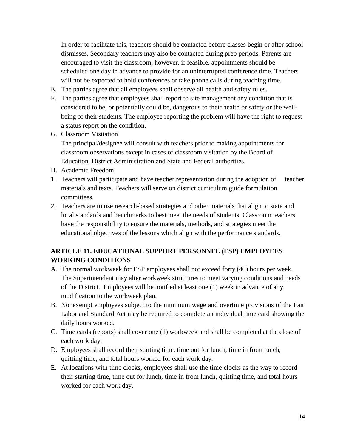In order to facilitate this, teachers should be contacted before classes begin or after school dismisses. Secondary teachers may also be contacted during prep periods. Parents are encouraged to visit the classroom, however, if feasible, appointments should be scheduled one day in advance to provide for an uninterrupted conference time. Teachers will not be expected to hold conferences or take phone calls during teaching time.

- E. The parties agree that all employees shall observe all health and safety rules.
- F. The parties agree that employees shall report to site management any condition that is considered to be, or potentially could be, dangerous to their health or safety or the wellbeing of their students. The employee reporting the problem will have the right to request a status report on the condition.
- G. Classroom Visitation

The principal/designee will consult with teachers prior to making appointments for classroom observations except in cases of classroom visitation by the Board of Education, District Administration and State and Federal authorities.

- H. Academic Freedom
- 1. Teachers will participate and have teacher representation during the adoption of teacher materials and texts. Teachers will serve on district curriculum guide formulation committees.
- 2. Teachers are to use research-based strategies and other materials that align to state and local standards and benchmarks to best meet the needs of students. Classroom teachers have the responsibility to ensure the materials, methods, and strategies meet the educational objectives of the lessons which align with the performance standards.

#### **ARTICLE 11. EDUCATIONAL SUPPORT PERSONNEL (ESP) EMPLOYEES WORKING CONDITIONS**

- A. The normal workweek for ESP employees shall not exceed forty (40) hours per week. The Superintendent may alter workweek structures to meet varying conditions and needs of the District. Employees will be notified at least one (1) week in advance of any modification to the workweek plan.
- B. Nonexempt employees subject to the minimum wage and overtime provisions of the Fair Labor and Standard Act may be required to complete an individual time card showing the daily hours worked.
- C. Time cards (reports) shall cover one (1) workweek and shall be completed at the close of each work day.
- D. Employees shall record their starting time, time out for lunch, time in from lunch, quitting time, and total hours worked for each work day.
- E. At locations with time clocks, employees shall use the time clocks as the way to record their starting time, time out for lunch, time in from lunch, quitting time, and total hours worked for each work day.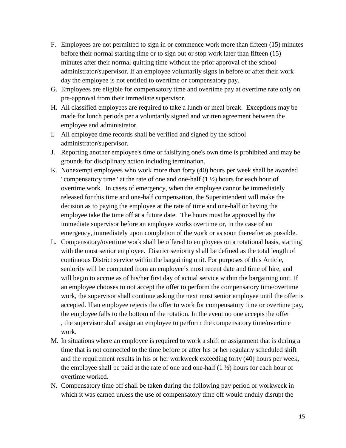- F. Employees are not permitted to sign in or commence work more than fifteen (15) minutes before their normal starting time or to sign out or stop work later than fifteen (15) minutes after their normal quitting time without the prior approval of the school administrator/supervisor. If an employee voluntarily signs in before or after their work day the employee is not entitled to overtime or compensatory pay.
- G. Employees are eligible for compensatory time and overtime pay at overtime rate only on pre-approval from their immediate supervisor.
- H. All classified employees are required to take a lunch or meal break. Exceptions may be made for lunch periods per a voluntarily signed and written agreement between the employee and administrator.
- I. All employee time records shall be verified and signed by the school administrator/supervisor.
- J. Reporting another employee's time or falsifying one's own time is prohibited and may be grounds for disciplinary action including termination.
- K. Nonexempt employees who work more than forty (40) hours per week shall be awarded "compensatory time" at the rate of one and one-half  $(1 \frac{1}{2})$  hours for each hour of overtime work. In cases of emergency, when the employee cannot be immediately released for this time and one-half compensation, the Superintendent will make the decision as to paying the employee at the rate of time and one-half or having the employee take the time off at a future date. The hours must be approved by the immediate supervisor before an employee works overtime or, in the case of an emergency, immediately upon completion of the work or as soon thereafter as possible.
- L. Compensatory/overtime work shall be offered to employees on a rotational basis, starting with the most senior employee. District seniority shall be defined as the total length of continuous District service within the bargaining unit. For purposes of this Article, seniority will be computed from an employee's most recent date and time of hire, and will begin to accrue as of his/her first day of actual service within the bargaining unit. If an employee chooses to not accept the offer to perform the compensatory time/overtime work, the supervisor shall continue asking the next most senior employee until the offer is accepted. If an employee rejects the offer to work for compensatory time or overtime pay, the employee falls to the bottom of the rotation. In the event no one accepts the offer , the supervisor shall assign an employee to perform the compensatory time/overtime work.
- M. In situations where an employee is required to work a shift or assignment that is during a time that is not connected to the time before or after his or her regularly scheduled shift and the requirement results in his or her workweek exceeding forty (40) hours per week, the employee shall be paid at the rate of one and one-half  $(1 \frac{1}{2})$  hours for each hour of overtime worked.
- N. Compensatory time off shall be taken during the following pay period or workweek in which it was earned unless the use of compensatory time off would unduly disrupt the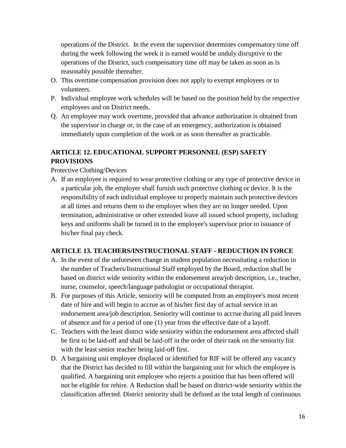operations of the District. In the event the supervisor determines compensatory time off during the week following the week it is earned would be unduly disruptive to the operations of the District, such compensatory time off may be taken as soon as is reasonably possible thereafter.

- O. This overtime compensation provision does not apply to exempt employees or to volunteers.
- P. Individual employee work schedules will be based on the position held by the respective employees and on District needs.
- Q. An employee may work overtime, provided that advance authorization is obtained from the supervisor in charge or, in the case of an emergency, authorization is obtained immediately upon completion of the work or as soon thereafter as practicable.

# **ARTICLE 12. EDUCATIONAL SUPPORT PERSONNEL (ESP) SAFETY PROVISIONS**

Protective Clothing/Devices

A. If an employee is required to wear protective clothing or any type of protective device in a particular job, the employer shall furnish such protective clothing or device. It is the responsibility of each individual employee to properly maintain such protective devices at all times and returns them to the employer when they are no longer needed. Upon termination, administrative or other extended leave all issued school property, including keys and uniforms shall be turned in to the employee's supervisor prior to issuance of his/her final pay check.

# **ARTICLE 13. TEACHERS/INSTRUCTIONAL STAFF - REDUCTION IN FORCE**

- A. In the event of the unforeseen change in student population necessitating a reduction in the number of Teachers/Instructional Staff employed by the Board, reduction shall be based on district wide seniority within the endorsement area/job description, i.e., teacher, nurse, counselor, speech/language pathologist or occupational therapist.
- B. For purposes of this Article, seniority will be computed from an employee's most recent date of hire and will begin to accrue as of his/her first day of actual service in an endorsement area/job description. Seniority will continue to accrue during all paid leaves of absence and for a period of one (1) year from the effective date of a layoff.
- C. Teachers with the least district wide seniority within the endorsement area affected shall be first to be laid-off and shall be laid-off in the order of their rank on the seniority list with the least senior teacher being laid-off first.
- D. A bargaining unit employee displaced or identified for RIF will be offered any vacancy that the District has decided to fill within the bargaining unit for which the employee is qualified. A bargaining unit employee who rejects a position that has been offered will not be eligible for rehire. A Reduction shall be based on district-wide seniority within the classification affected. District seniority shall be defined as the total length of continuous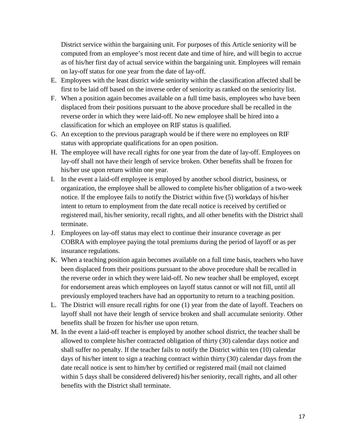District service within the bargaining unit. For purposes of this Article seniority will be computed from an employee's most recent date and time of hire, and will begin to accrue as of his/her first day of actual service within the bargaining unit. Employees will remain on lay-off status for one year from the date of lay-off.

- E. Employees with the least district wide seniority within the classification affected shall be first to be laid off based on the inverse order of seniority as ranked on the seniority list.
- F. When a position again becomes available on a full time basis, employees who have been displaced from their positions pursuant to the above procedure shall be recalled in the reverse order in which they were laid-off. No new employee shall be hired into a classification for which an employee on RIF status is qualified.
- G. An exception to the previous paragraph would be if there were no employees on RIF status with appropriate qualifications for an open position.
- H. The employee will have recall rights for one year from the date of lay-off. Employees on lay-off shall not have their length of service broken. Other benefits shall be frozen for his/her use upon return within one year.
- I. In the event a laid-off employee is employed by another school district, business, or organization, the employee shall be allowed to complete his/her obligation of a two-week notice. If the employee fails to notify the District within five (5) workdays of his/her intent to return to employment from the date recall notice is received by certified or registered mail, his/her seniority, recall rights, and all other benefits with the District shall terminate.
- J. Employees on lay-off status may elect to continue their insurance coverage as per COBRA with employee paying the total premiums during the period of layoff or as per insurance regulations.
- K. When a teaching position again becomes available on a full time basis, teachers who have been displaced from their positions pursuant to the above procedure shall be recalled in the reverse order in which they were laid-off. No new teacher shall be employed, except for endorsement areas which employees on layoff status cannot or will not fill, until all previously employed teachers have had an opportunity to return to a teaching position.
- L. The District will ensure recall rights for one (1) year from the date of layoff. Teachers on layoff shall not have their length of service broken and shall accumulate seniority. Other benefits shall be frozen for his/her use upon return.
- M. In the event a laid-off teacher is employed by another school district, the teacher shall be allowed to complete his/her contracted obligation of thirty (30) calendar days notice and shall suffer no penalty. If the teacher fails to notify the District within ten (10) calendar days of his/her intent to sign a teaching contract within thirty (30) calendar days from the date recall notice is sent to him/her by certified or registered mail (mail not claimed within 5 days shall be considered delivered) his/her seniority, recall rights, and all other benefits with the District shall terminate.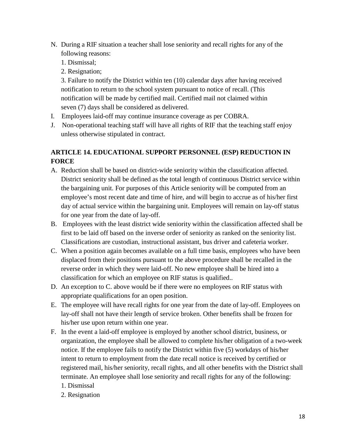- N. During a RIF situation a teacher shall lose seniority and recall rights for any of the following reasons:
	- 1. Dismissal;
	- 2. Resignation;

3. Failure to notify the District within ten (10) calendar days after having received notification to return to the school system pursuant to notice of recall. (This notification will be made by certified mail. Certified mail not claimed within seven (7) days shall be considered as delivered.

- I. Employees laid-off may continue insurance coverage as per COBRA.
- J. Non-operational teaching staff will have all rights of RIF that the teaching staff enjoy unless otherwise stipulated in contract.

# **ARTICLE 14. EDUCATIONAL SUPPORT PERSONNEL (ESP) REDUCTION IN FORCE**

- A. Reduction shall be based on district-wide seniority within the classification affected. District seniority shall be defined as the total length of continuous District service within the bargaining unit. For purposes of this Article seniority will be computed from an employee's most recent date and time of hire, and will begin to accrue as of his/her first day of actual service within the bargaining unit. Employees will remain on lay-off status for one year from the date of lay-off.
- B. Employees with the least district wide seniority within the classification affected shall be first to be laid off based on the inverse order of seniority as ranked on the seniority list. Classifications are custodian, instructional assistant, bus driver and cafeteria worker.
- C. When a position again becomes available on a full time basis, employees who have been displaced from their positions pursuant to the above procedure shall be recalled in the reverse order in which they were laid-off. No new employee shall be hired into a classification for which an employee on RIF status is qualified..
- D. An exception to C. above would be if there were no employees on RIF status with appropriate qualifications for an open position.
- E. The employee will have recall rights for one year from the date of lay-off. Employees on lay-off shall not have their length of service broken. Other benefits shall be frozen for his/her use upon return within one year.
- F. In the event a laid-off employee is employed by another school district, business, or organization, the employee shall be allowed to complete his/her obligation of a two-week notice. If the employee fails to notify the District within five (5) workdays of his/her intent to return to employment from the date recall notice is received by certified or registered mail, his/her seniority, recall rights, and all other benefits with the District shall terminate. An employee shall lose seniority and recall rights for any of the following: 1. Dismissal
	- 2. Resignation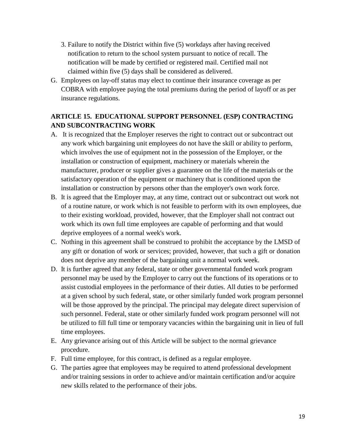- 3. Failure to notify the District within five (5) workdays after having received notification to return to the school system pursuant to notice of recall. The notification will be made by certified or registered mail. Certified mail not claimed within five (5) days shall be considered as delivered.
- G. Employees on lay-off status may elect to continue their insurance coverage as per COBRA with employee paying the total premiums during the period of layoff or as per insurance regulations.

# **ARTICLE 15. EDUCATIONAL SUPPORT PERSONNEL (ESP) CONTRACTING AND SUBCONTRACTING WORK**

- A. It is recognized that the Employer reserves the right to contract out or subcontract out any work which bargaining unit employees do not have the skill or ability to perform, which involves the use of equipment not in the possession of the Employer, or the installation or construction of equipment, machinery or materials wherein the manufacturer, producer or supplier gives a guarantee on the life of the materials or the satisfactory operation of the equipment or machinery that is conditioned upon the installation or construction by persons other than the employer's own work force.
- B. It is agreed that the Employer may, at any time, contract out or subcontract out work not of a routine nature, or work which is not feasible to perform with its own employees, due to their existing workload, provided, however, that the Employer shall not contract out work which its own full time employees are capable of performing and that would deprive employees of a normal week's work.
- C. Nothing in this agreement shall be construed to prohibit the acceptance by the LMSD of any gift or donation of work or services; provided, however, that such a gift or donation does not deprive any member of the bargaining unit a normal work week.
- D. It is further agreed that any federal, state or other governmental funded work program personnel may be used by the Employer to carry out the functions of its operations or to assist custodial employees in the performance of their duties. All duties to be performed at a given school by such federal, state, or other similarly funded work program personnel will be those approved by the principal. The principal may delegate direct supervision of such personnel. Federal, state or other similarly funded work program personnel will not be utilized to fill full time or temporary vacancies within the bargaining unit in lieu of full time employees.
- E. Any grievance arising out of this Article will be subject to the normal grievance procedure.
- F. Full time employee, for this contract, is defined as a regular employee.
- G. The parties agree that employees may be required to attend professional development and/or training sessions in order to achieve and/or maintain certification and/or acquire new skills related to the performance of their jobs.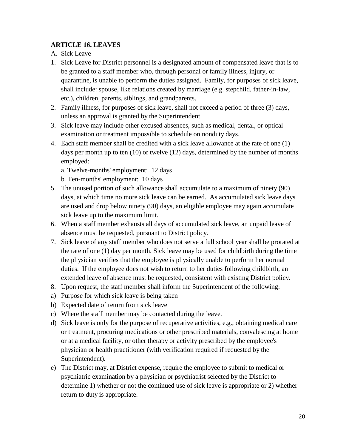#### **ARTICLE 16. LEAVES**

- A. Sick Leave
- 1. Sick Leave for District personnel is a designated amount of compensated leave that is to be granted to a staff member who, through personal or family illness, injury, or quarantine, is unable to perform the duties assigned. Family, for purposes of sick leave, shall include: spouse, like relations created by marriage (e.g. stepchild, father-in-law, etc.), children, parents, siblings, and grandparents.
- 2. Family illness, for purposes of sick leave, shall not exceed a period of three (3) days, unless an approval is granted by the Superintendent.
- 3. Sick leave may include other excused absences, such as medical, dental, or optical examination or treatment impossible to schedule on nonduty days.
- 4. Each staff member shall be credited with a sick leave allowance at the rate of one (1) days per month up to ten (10) or twelve (12) days, determined by the number of months employed:
	- a. Twelve-months' employment: 12 days
	- b. Ten-months' employment: 10 days
- 5. The unused portion of such allowance shall accumulate to a maximum of ninety (90) days, at which time no more sick leave can be earned. As accumulated sick leave days are used and drop below ninety (90) days, an eligible employee may again accumulate sick leave up to the maximum limit.
- 6. When a staff member exhausts all days of accumulated sick leave, an unpaid leave of absence must be requested, pursuant to District policy.
- 7. Sick leave of any staff member who does not serve a full school year shall be prorated at the rate of one (1) day per month. Sick leave may be used for childbirth during the time the physician verifies that the employee is physically unable to perform her normal duties. If the employee does not wish to return to her duties following childbirth, an extended leave of absence must be requested, consistent with existing District policy.
- 8. Upon request, the staff member shall inform the Superintendent of the following:
- a) Purpose for which sick leave is being taken
- b) Expected date of return from sick leave
- c) Where the staff member may be contacted during the leave.
- d) Sick leave is only for the purpose of recuperative activities, e.g., obtaining medical care or treatment, procuring medications or other prescribed materials, convalescing at home or at a medical facility, or other therapy or activity prescribed by the employee's physician or health practitioner (with verification required if requested by the Superintendent).
- e) The District may, at District expense, require the employee to submit to medical or psychiatric examination by a physician or psychiatrist selected by the District to determine 1) whether or not the continued use of sick leave is appropriate or 2) whether return to duty is appropriate.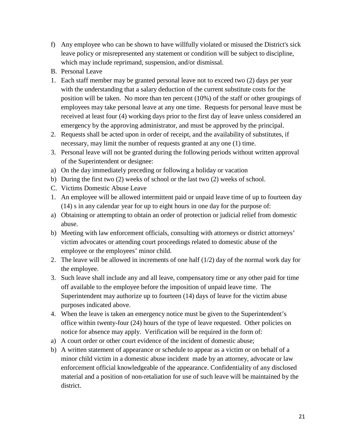- f) Any employee who can be shown to have willfully violated or misused the District's sick leave policy or misrepresented any statement or condition will be subject to discipline, which may include reprimand, suspension, and/or dismissal.
- B. Personal Leave
- 1. Each staff member may be granted personal leave not to exceed two (2) days per year with the understanding that a salary deduction of the current substitute costs for the position will be taken. No more than ten percent (10%) of the staff or other groupings of employees may take personal leave at any one time. Requests for personal leave must be received at least four (4) working days prior to the first day of leave unless considered an emergency by the approving administrator, and must be approved by the principal.
- 2. Requests shall be acted upon in order of receipt, and the availability of substitutes, if necessary, may limit the number of requests granted at any one (1) time.
- 3. Personal leave will not be granted during the following periods without written approval of the Superintendent or designee:
- a) On the day immediately preceding or following a holiday or vacation
- b) During the first two (2) weeks of school or the last two (2) weeks of school.
- C. Victims Domestic Abuse Leave
- 1. An employee will be allowed intermittent paid or unpaid leave time of up to fourteen day (14) s in any calendar year for up to eight hours in one day for the purpose of:
- a) Obtaining or attempting to obtain an order of protection or judicial relief from domestic abuse.
- b) Meeting with law enforcement officials, consulting with attorneys or district attorneys' victim advocates or attending court proceedings related to domestic abuse of the employee or the employees' minor child.
- 2. The leave will be allowed in increments of one half (1/2) day of the normal work day for the employee.
- 3. Such leave shall include any and all leave, compensatory time or any other paid for time off available to the employee before the imposition of unpaid leave time. The Superintendent may authorize up to fourteen (14) days of leave for the victim abuse purposes indicated above.
- 4. When the leave is taken an emergency notice must be given to the Superintendent's office within twenty-four (24) hours of the type of leave requested. Other policies on notice for absence may apply. Verification will be required in the form of:
- a) A court order or other court evidence of the incident of domestic abuse;
- b) A written statement of appearance or schedule to appear as a victim or on behalf of a minor child victim in a domestic abuse incident made by an attorney, advocate or law enforcement official knowledgeable of the appearance. Confidentiality of any disclosed material and a position of non-retaliation for use of such leave will be maintained by the district.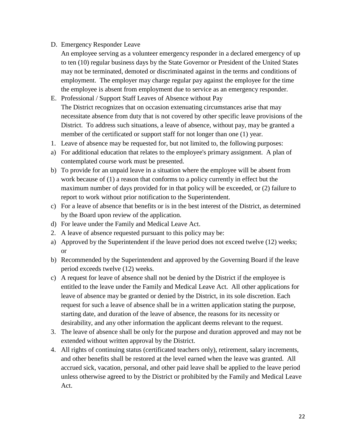#### D. Emergency Responder Leave

- An employee serving as a volunteer emergency responder in a declared emergency of up to ten (10) regular business days by the State Governor or President of the United States may not be terminated, demoted or discriminated against in the terms and conditions of employment. The employer may charge regular pay against the employee for the time the employee is absent from employment due to service as an emergency responder.
- E. Professional / Support Staff Leaves of Absence without Pay The District recognizes that on occasion extenuating circumstances arise that may necessitate absence from duty that is not covered by other specific leave provisions of the District. To address such situations, a leave of absence, without pay, may be granted a member of the certificated or support staff for not longer than one (1) year.
- 1. Leave of absence may be requested for, but not limited to, the following purposes:
- a) For additional education that relates to the employee's primary assignment. A plan of contemplated course work must be presented.
- b) To provide for an unpaid leave in a situation where the employee will be absent from work because of (1) a reason that conforms to a policy currently in effect but the maximum number of days provided for in that policy will be exceeded, or (2) failure to report to work without prior notification to the Superintendent.
- c) For a leave of absence that benefits or is in the best interest of the District, as determined by the Board upon review of the application.
- d) For leave under the Family and Medical Leave Act.
- 2. A leave of absence requested pursuant to this policy may be:
- a) Approved by the Superintendent if the leave period does not exceed twelve (12) weeks; or
- b) Recommended by the Superintendent and approved by the Governing Board if the leave period exceeds twelve (12) weeks.
- c) A request for leave of absence shall not be denied by the District if the employee is entitled to the leave under the Family and Medical Leave Act. All other applications for leave of absence may be granted or denied by the District, in its sole discretion. Each request for such a leave of absence shall be in a written application stating the purpose, starting date, and duration of the leave of absence, the reasons for its necessity or desirability, and any other information the applicant deems relevant to the request.
- 3. The leave of absence shall be only for the purpose and duration approved and may not be extended without written approval by the District.
- 4. All rights of continuing status (certificated teachers only), retirement, salary increments, and other benefits shall be restored at the level earned when the leave was granted. All accrued sick, vacation, personal, and other paid leave shall be applied to the leave period unless otherwise agreed to by the District or prohibited by the Family and Medical Leave Act.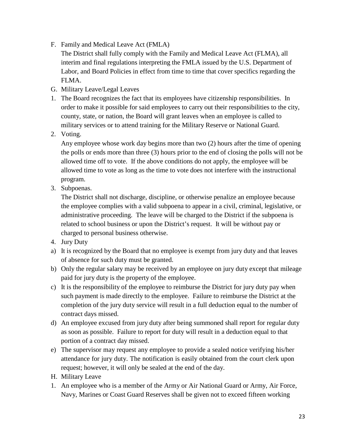- F. Family and Medical Leave Act (FMLA)
	- The District shall fully comply with the Family and Medical Leave Act (FLMA), all interim and final regulations interpreting the FMLA issued by the U.S. Department of Labor, and Board Policies in effect from time to time that cover specifics regarding the FLMA.
- G. Military Leave/Legal Leaves
- 1. The Board recognizes the fact that its employees have citizenship responsibilities. In order to make it possible for said employees to carry out their responsibilities to the city, county, state, or nation, the Board will grant leaves when an employee is called to military services or to attend training for the Military Reserve or National Guard.
- 2. Voting.

Any employee whose work day begins more than two (2) hours after the time of opening the polls or ends more than three (3) hours prior to the end of closing the polls will not be allowed time off to vote. If the above conditions do not apply, the employee will be allowed time to vote as long as the time to vote does not interfere with the instructional program.

3. Subpoenas.

The District shall not discharge, discipline, or otherwise penalize an employee because the employee complies with a valid subpoena to appear in a civil, criminal, legislative, or administrative proceeding. The leave will be charged to the District if the subpoena is related to school business or upon the District's request. It will be without pay or charged to personal business otherwise.

- 4. Jury Duty
- a) It is recognized by the Board that no employee is exempt from jury duty and that leaves of absence for such duty must be granted.
- b) Only the regular salary may be received by an employee on jury duty except that mileage paid for jury duty is the property of the employee.
- c) It is the responsibility of the employee to reimburse the District for jury duty pay when such payment is made directly to the employee. Failure to reimburse the District at the completion of the jury duty service will result in a full deduction equal to the number of contract days missed.
- d) An employee excused from jury duty after being summoned shall report for regular duty as soon as possible. Failure to report for duty will result in a deduction equal to that portion of a contract day missed.
- e) The supervisor may request any employee to provide a sealed notice verifying his/her attendance for jury duty. The notification is easily obtained from the court clerk upon request; however, it will only be sealed at the end of the day.
- H. Military Leave
- 1. An employee who is a member of the Army or Air National Guard or Army, Air Force, Navy, Marines or Coast Guard Reserves shall be given not to exceed fifteen working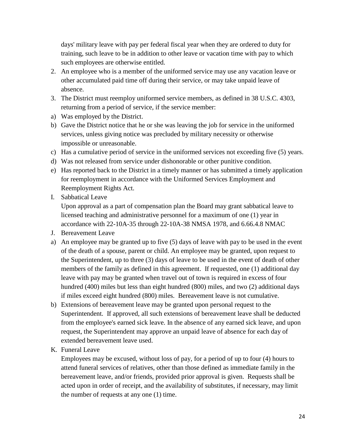days' military leave with pay per federal fiscal year when they are ordered to duty for training, such leave to be in addition to other leave or vacation time with pay to which such employees are otherwise entitled.

- 2. An employee who is a member of the uniformed service may use any vacation leave or other accumulated paid time off during their service, or may take unpaid leave of absence.
- 3. The District must reemploy uniformed service members, as defined in 38 U.S.C. 4303, returning from a period of service, if the service member:
- a) Was employed by the District.
- b) Gave the District notice that he or she was leaving the job for service in the uniformed services, unless giving notice was precluded by military necessity or otherwise impossible or unreasonable.
- c) Has a cumulative period of service in the uniformed services not exceeding five (5) years.
- d) Was not released from service under dishonorable or other punitive condition.
- e) Has reported back to the District in a timely manner or has submitted a timely application for reemployment in accordance with the Uniformed Services Employment and Reemployment Rights Act.
- I. Sabbatical Leave

Upon approval as a part of compensation plan the Board may grant sabbatical leave to licensed teaching and administrative personnel for a maximum of one (1) year in accordance with 22-10A-35 through 22-10A-38 NMSA 1978, and 6.66.4.8 NMAC

- J. Bereavement Leave
- a) An employee may be granted up to five (5) days of leave with pay to be used in the event of the death of a spouse, parent or child. An employee may be granted, upon request to the Superintendent, up to three (3) days of leave to be used in the event of death of other members of the family as defined in this agreement. If requested, one (1) additional day leave with pay may be granted when travel out of town is required in excess of four hundred (400) miles but less than eight hundred (800) miles, and two (2) additional days if miles exceed eight hundred (800) miles. Bereavement leave is not cumulative.
- b) Extensions of bereavement leave may be granted upon personal request to the Superintendent. If approved, all such extensions of bereavement leave shall be deducted from the employee's earned sick leave. In the absence of any earned sick leave, and upon request, the Superintendent may approve an unpaid leave of absence for each day of extended bereavement leave used.
- K. Funeral Leave

Employees may be excused, without loss of pay, for a period of up to four (4) hours to attend funeral services of relatives, other than those defined as immediate family in the bereavement leave, and/or friends, provided prior approval is given. Requests shall be acted upon in order of receipt, and the availability of substitutes, if necessary, may limit the number of requests at any one (1) time.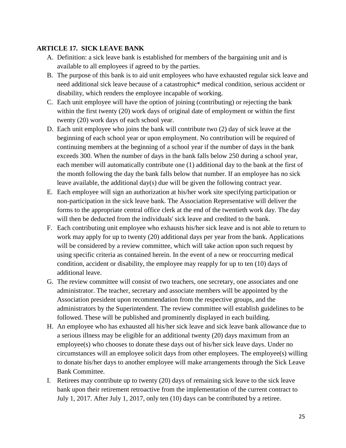#### **ARTICLE 17. SICK LEAVE BANK**

- A. Definition: a sick leave bank is established for members of the bargaining unit and is available to all employees if agreed to by the parties.
- B. The purpose of this bank is to aid unit employees who have exhausted regular sick leave and need additional sick leave because of a catastrophic\* medical condition, serious accident or disability, which renders the employee incapable of working.
- C. Each unit employee will have the option of joining (contributing) or rejecting the bank within the first twenty (20) work days of original date of employment or within the first twenty (20) work days of each school year.
- D. Each unit employee who joins the bank will contribute two (2) day of sick leave at the beginning of each school year or upon employment. No contribution will be required of continuing members at the beginning of a school year if the number of days in the bank exceeds 300. When the number of days in the bank falls below 250 during a school year, each member will automatically contribute one (1) additional day to the bank at the first of the month following the day the bank falls below that number. If an employee has no sick leave available, the additional day(s) due will be given the following contract year.
- E. Each employee will sign an authorization at his/her work site specifying participation or non-participation in the sick leave bank. The Association Representative will deliver the forms to the appropriate central office clerk at the end of the twentieth work day. The day will then be deducted from the individuals' sick leave and credited to the bank.
- F. Each contributing unit employee who exhausts his/her sick leave and is not able to return to work may apply for up to twenty (20) additional days per year from the bank. Applications will be considered by a review committee, which will take action upon such request by using specific criteria as contained herein. In the event of a new or reoccurring medical condition, accident or disability, the employee may reapply for up to ten (10) days of additional leave.
- G. The review committee will consist of two teachers, one secretary, one associates and one administrator. The teacher, secretary and associate members will be appointed by the Association president upon recommendation from the respective groups, and the administrators by the Superintendent. The review committee will establish guidelines to be followed. These will be published and prominently displayed in each building.
- H. An employee who has exhausted all his/her sick leave and sick leave bank allowance due to a serious illness may be eligible for an additional twenty (20) days maximum from an employee(s) who chooses to donate these days out of his/her sick leave days. Under no circumstances will an employee solicit days from other employees. The employee(s) willing to donate his/her days to another employee will make arrangements through the Sick Leave Bank Committee.
- I. Retirees may contribute up to twenty (20) days of remaining sick leave to the sick leave bank upon their retirement retroactive from the implementation of the current contract to July 1, 2017. After July 1, 2017, only ten (10) days can be contributed by a retiree.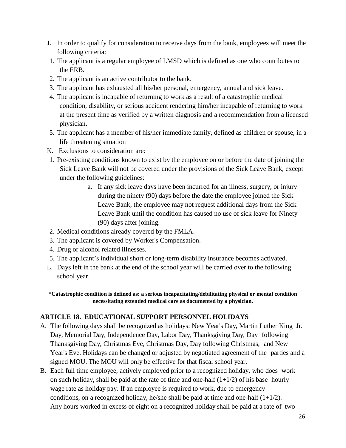- J. In order to qualify for consideration to receive days from the bank, employees will meet the following criteria:
- 1. The applicant is a regular employee of LMSD which is defined as one who contributes to the ERB.
- 2. The applicant is an active contributor to the bank.
- 3. The applicant has exhausted all his/her personal, emergency, annual and sick leave.
- 4. The applicant is incapable of returning to work as a result of a catastrophic medical condition, disability, or serious accident rendering him/her incapable of returning to work at the present time as verified by a written diagnosis and a recommendation from a licensed physician.
- 5. The applicant has a member of his/her immediate family, defined as children or spouse, in a life threatening situation
- K. Exclusions to consideration are:
- 1. Pre-existing conditions known to exist by the employee on or before the date of joining the Sick Leave Bank will not be covered under the provisions of the Sick Leave Bank, except under the following guidelines:
	- a. If any sick leave days have been incurred for an illness, surgery, or injury during the ninety (90) days before the date the employee joined the Sick Leave Bank, the employee may not request additional days from the Sick Leave Bank until the condition has caused no use of sick leave for Ninety (90) days after joining.
- 2. Medical conditions already covered by the FMLA.
- 3. The applicant is covered by Worker's Compensation.
- 4. Drug or alcohol related illnesses.
- 5. The applicant's individual short or long-term disability insurance becomes activated.
- L. Days left in the bank at the end of the school year will be carried over to the following school year.

**\*Catastrophic condition is defined as: a serious incapacitating/debilitating physical or mental condition necessitating extended medical care as documented by a physician.**

# **ARTICLE 18. EDUCATIONAL SUPPORT PERSONNEL HOLIDAYS**

- A. The following days shall be recognized as holidays: New Year's Day, Martin Luther King Jr. Day, Memorial Day, Independence Day, Labor Day, Thanksgiving Day, Day following Thanksgiving Day, Christmas Eve, Christmas Day, Day following Christmas, and New Year's Eve. Holidays can be changed or adjusted by negotiated agreement of the parties and a signed MOU. The MOU will only be effective for that fiscal school year.
- B. Each full time employee, actively employed prior to a recognized holiday, who does work on such holiday, shall be paid at the rate of time and one-half  $(1+1/2)$  of his base hourly wage rate as holiday pay. If an employee is required to work, due to emergency conditions, on a recognized holiday, he/she shall be paid at time and one-half  $(1+1/2)$ . Any hours worked in excess of eight on a recognized holiday shall be paid at a rate of two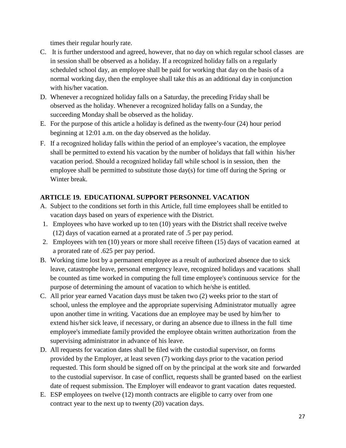times their regular hourly rate.

- C. It is further understood and agreed, however, that no day on which regular school classes are in session shall be observed as a holiday. If a recognized holiday falls on a regularly scheduled school day, an employee shall be paid for working that day on the basis of a normal working day, then the employee shall take this as an additional day in conjunction with his/her vacation.
- D. Whenever a recognized holiday falls on a Saturday, the preceding Friday shall be observed as the holiday. Whenever a recognized holiday falls on a Sunday, the succeeding Monday shall be observed as the holiday.
- E. For the purpose of this article a holiday is defined as the twenty-four (24) hour period beginning at 12:01 a.m. on the day observed as the holiday.
- F. If a recognized holiday falls within the period of an employee's vacation, the employee shall be permitted to extend his vacation by the number of holidays that fall within his/her vacation period. Should a recognized holiday fall while school is in session, then the employee shall be permitted to substitute those day(s) for time off during the Spring or Winter break.

# **ARTICLE 19. EDUCATIONAL SUPPORT PERSONNEL VACATION**

- A. Subject to the conditions set forth in this Article, full time employees shall be entitled to vacation days based on years of experience with the District.
- 1. Employees who have worked up to ten (10) years with the District shall receive twelve (12) days of vacation earned at a prorated rate of .5 per pay period.
- 2. Employees with ten (10) years or more shall receive fifteen (15) days of vacation earned at a prorated rate of .625 per pay period.
- B. Working time lost by a permanent employee as a result of authorized absence due to sick leave, catastrophe leave, personal emergency leave, recognized holidays and vacations shall be counted as time worked in computing the full time employee's continuous service for the purpose of determining the amount of vacation to which he/she is entitled.
- C. All prior year earned Vacation days must be taken two (2) weeks prior to the start of school, unless the employee and the appropriate supervising Administrator mutually agree upon another time in writing. Vacations due an employee may be used by him/her to extend his/her sick leave, if necessary, or during an absence due to illness in the full time employee's immediate family provided the employee obtain written authorization from the supervising administrator in advance of his leave.
- D. All requests for vacation dates shall be filed with the custodial supervisor, on forms provided by the Employer, at least seven (7) working days prior to the vacation period requested. This form should be signed off on by the principal at the work site and forwarded to the custodial supervisor. In case of conflict, requests shall be granted based on the earliest date of request submission. The Employer will endeavor to grant vacation dates requested.
- E. ESP employees on twelve (12) month contracts are eligible to carry over from one contract year to the next up to twenty (20) vacation days.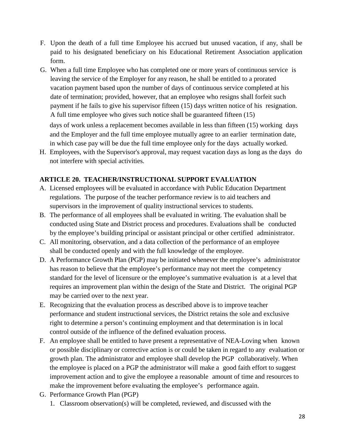- F. Upon the death of a full time Employee his accrued but unused vacation, if any, shall be paid to his designated beneficiary on his Educational Retirement Association application form.
- G. When a full time Employee who has completed one or more years of continuous service is leaving the service of the Employer for any reason, he shall be entitled to a prorated vacation payment based upon the number of days of continuous service completed at his date of termination; provided, however, that an employee who resigns shall forfeit such payment if he fails to give his supervisor fifteen (15) days written notice of his resignation. A full time employee who gives such notice shall be guaranteed fifteen (15) days of work unless a replacement becomes available in less than fifteen (15) working days and the Employer and the full time employee mutually agree to an earlier termination date, in which case pay will be due the full time employee only for the days actually worked.
- H. Employees, with the Supervisor's approval, may request vacation days as long as the days do not interfere with special activities.

#### **ARTICLE 20. TEACHER/INSTRUCTIONAL SUPPORT EVALUATION**

- A. Licensed employees will be evaluated in accordance with Public Education Department regulations. The purpose of the teacher performance review is to aid teachers and supervisors in the improvement of quality instructional services to students.
- B. The performance of all employees shall be evaluated in writing. The evaluation shall be conducted using State and District process and procedures. Evaluations shall be conducted by the employee's building principal or assistant principal or other certified administrator.
- C. All monitoring, observation, and a data collection of the performance of an employee shall be conducted openly and with the full knowledge of the employee.
- D. A Performance Growth Plan (PGP) may be initiated whenever the employee's administrator has reason to believe that the employee's performance may not meet the competency standard for the level of licensure or the employee's summative evaluation is at a level that requires an improvement plan within the design of the State and District. The original PGP may be carried over to the next year.
- E. Recognizing that the evaluation process as described above is to improve teacher performance and student instructional services, the District retains the sole and exclusive right to determine a person's continuing employment and that determination is in local control outside of the influence of the defined evaluation process.
- F. An employee shall be entitled to have present a representative of NEA-Loving when known or possible disciplinary or corrective action is or could be taken in regard to any evaluation or growth plan. The administrator and employee shall develop the PGP collaboratively. When the employee is placed on a PGP the administrator will make a good faith effort to suggest improvement action and to give the employee a reasonable amount of time and resources to make the improvement before evaluating the employee's performance again.
- G. Performance Growth Plan (PGP)
	- 1. Classroom observation(s) will be completed, reviewed, and discussed with the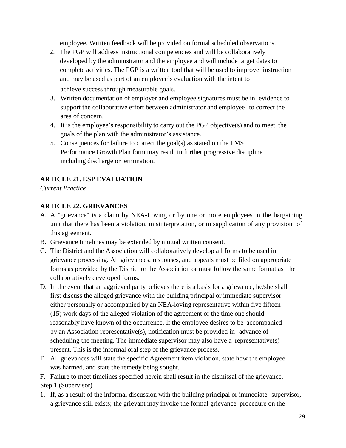employee. Written feedback will be provided on formal scheduled observations.

- 2. The PGP will address instructional competencies and will be collaboratively developed by the administrator and the employee and will include target dates to complete activities. The PGP is a written tool that will be used to improve instruction and may be used as part of an employee's evaluation with the intent to achieve success through measurable goals.
- 3. Written documentation of employer and employee signatures must be in evidence to support the collaborative effort between administrator and employee to correct the area of concern.
- 4. It is the employee's responsibility to carry out the PGP objective(s) and to meet the goals of the plan with the administrator's assistance.
- 5. Consequences for failure to correct the goal(s) as stated on the LMS Performance Growth Plan form may result in further progressive discipline including discharge or termination.

#### **ARTICLE 21. ESP EVALUATION**

*Current Practice*

#### **ARTICLE 22. GRIEVANCES**

- A. A "grievance" is a claim by NEA-Loving or by one or more employees in the bargaining unit that there has been a violation, misinterpretation, or misapplication of any provision of this agreement.
- B. Grievance timelines may be extended by mutual written consent.
- C. The District and the Association will collaboratively develop all forms to be used in grievance processing. All grievances, responses, and appeals must be filed on appropriate forms as provided by the District or the Association or must follow the same format as the collaboratively developed forms.
- D. In the event that an aggrieved party believes there is a basis for a grievance, he/she shall first discuss the alleged grievance with the building principal or immediate supervisor either personally or accompanied by an NEA-loving representative within five fifteen (15) work days of the alleged violation of the agreement or the time one should reasonably have known of the occurrence. If the employee desires to be accompanied by an Association representative(s), notification must be provided in advance of scheduling the meeting. The immediate supervisor may also have a representative(s) present. This is the informal oral step of the grievance process.
- E. All grievances will state the specific Agreement item violation, state how the employee was harmed, and state the remedy being sought.

F. Failure to meet timelines specified herein shall result in the dismissal of the grievance. Step 1 (Supervisor)

1. If, as a result of the informal discussion with the building principal or immediate supervisor, a grievance still exists; the grievant may invoke the formal grievance procedure on the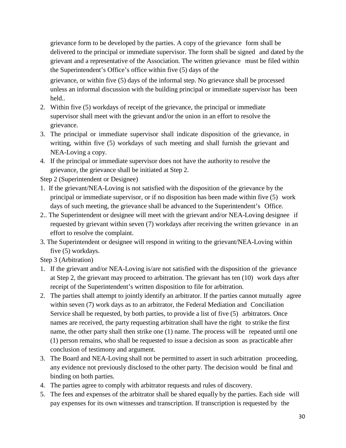grievance form to be developed by the parties. A copy of the grievance form shall be delivered to the principal or immediate supervisor. The form shall be signed and dated by the grievant and a representative of the Association. The written grievance must be filed within the Superintendent's Office's office within five (5) days of the

grievance, or within five (5) days of the informal step. No grievance shall be processed unless an informal discussion with the building principal or immediate supervisor has been held..

- 2. Within five (5) workdays of receipt of the grievance, the principal or immediate supervisor shall meet with the grievant and/or the union in an effort to resolve the grievance.
- 3. The principal or immediate supervisor shall indicate disposition of the grievance, in writing, within five (5) workdays of such meeting and shall furnish the grievant and NEA-Loving a copy.
- 4. If the principal or immediate supervisor does not have the authority to resolve the grievance, the grievance shall be initiated at Step 2.

Step 2 (Superintendent or Designee)

- 1. If the grievant/NEA-Loving is not satisfied with the disposition of the grievance by the principal or immediate supervisor, or if no disposition has been made within five (5) work days of such meeting, the grievance shall be advanced to the Superintendent's Office.
- 2.. The Superintendent or designee will meet with the grievant and/or NEA-Loving designee if requested by grievant within seven (7) workdays after receiving the written grievance in an effort to resolve the complaint.
- 3. The Superintendent or designee will respond in writing to the grievant/NEA-Loving within five (5) workdays.

Step 3 (Arbitration)

- 1. If the grievant and/or NEA-Loving is/are not satisfied with the disposition of the grievance at Step 2, the grievant may proceed to arbitration. The grievant has ten (10) work days after receipt of the Superintendent's written disposition to file for arbitration.
- 2. The parties shall attempt to jointly identify an arbitrator. If the parties cannot mutually agree within seven (7) work days as to an arbitrator, the Federal Mediation and Conciliation Service shall be requested, by both parties, to provide a list of five (5) arbitrators. Once names are received, the party requesting arbitration shall have the right to strike the first name, the other party shall then strike one (1) name. The process will be repeated until one (1) person remains, who shall be requested to issue a decision as soon as practicable after conclusion of testimony and argument.
- 3. The Board and NEA-Loving shall not be permitted to assert in such arbitration proceeding, any evidence not previously disclosed to the other party. The decision would be final and binding on both parties.
- 4. The parties agree to comply with arbitrator requests and rules of discovery.
- 5. The fees and expenses of the arbitrator shall be shared equally by the parties. Each side will pay expenses for its own witnesses and transcription. If transcription is requested by the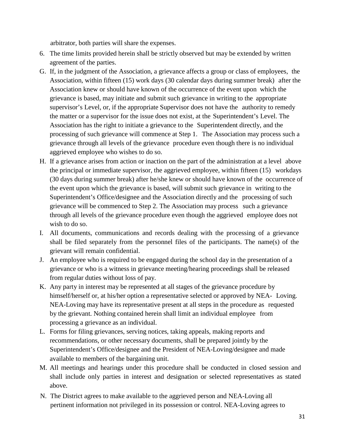arbitrator, both parties will share the expenses.

- 6. The time limits provided herein shall be strictly observed but may be extended by written agreement of the parties.
- G. If, in the judgment of the Association, a grievance affects a group or class of employees, the Association, within fifteen (15) work days (30 calendar days during summer break) after the Association knew or should have known of the occurrence of the event upon which the grievance is based, may initiate and submit such grievance in writing to the appropriate supervisor's Level, or, if the appropriate Supervisor does not have the authority to remedy the matter or a supervisor for the issue does not exist, at the Superintendent's Level. The Association has the right to initiate a grievance to the Superintendent directly, and the processing of such grievance will commence at Step 1. The Association may process such a grievance through all levels of the grievance procedure even though there is no individual aggrieved employee who wishes to do so.
- H. If a grievance arises from action or inaction on the part of the administration at a level above the principal or immediate supervisor, the aggrieved employee, within fifteen (15) workdays (30 days during summer break) after he/she knew or should have known of the occurrence of the event upon which the grievance is based, will submit such grievance in writing to the Superintendent's Office/designee and the Association directly and the processing of such grievance will be commenced to Step 2. The Association may process such a grievance through all levels of the grievance procedure even though the aggrieved employee does not wish to do so.
- I. All documents, communications and records dealing with the processing of a grievance shall be filed separately from the personnel files of the participants. The name(s) of the grievant will remain confidential.
- J. An employee who is required to be engaged during the school day in the presentation of a grievance or who is a witness in grievance meeting/hearing proceedings shall be released from regular duties without loss of pay.
- K. Any party in interest may be represented at all stages of the grievance procedure by himself/herself or, at his/her option a representative selected or approved by NEA- Loving. NEA-Loving may have its representative present at all steps in the procedure as requested by the grievant. Nothing contained herein shall limit an individual employee from processing a grievance as an individual.
- L. Forms for filing grievances, serving notices, taking appeals, making reports and recommendations, or other necessary documents, shall be prepared jointly by the Superintendent's Office/designee and the President of NEA-Loving/designee and made available to members of the bargaining unit.
- M. All meetings and hearings under this procedure shall be conducted in closed session and shall include only parties in interest and designation or selected representatives as stated above.
- N. The District agrees to make available to the aggrieved person and NEA-Loving all pertinent information not privileged in its possession or control. NEA-Loving agrees to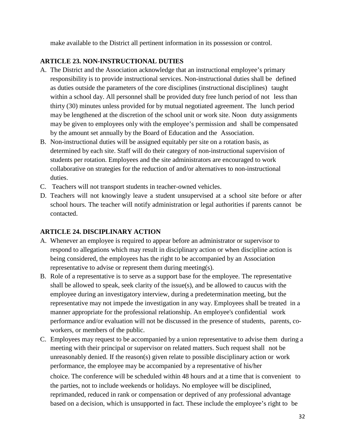make available to the District all pertinent information in its possession or control.

#### **ARTICLE 23. NON-INSTRUCTIONAL DUTIES**

- A. The District and the Association acknowledge that an instructional employee's primary responsibility is to provide instructional services. Non-instructional duties shall be defined as duties outside the parameters of the core disciplines (instructional disciplines) taught within a school day. All personnel shall be provided duty free lunch period of not less than thirty (30) minutes unless provided for by mutual negotiated agreement. The lunch period may be lengthened at the discretion of the school unit or work site. Noon duty assignments may be given to employees only with the employee's permission and shall be compensated by the amount set annually by the Board of Education and the Association.
- B. Non-instructional duties will be assigned equitably per site on a rotation basis, as determined by each site. Staff will do their category of non-instructional supervision of students per rotation. Employees and the site administrators are encouraged to work collaborative on strategies for the reduction of and/or alternatives to non-instructional duties.
- C. Teachers will not transport students in teacher-owned vehicles.
- D. Teachers will not knowingly leave a student unsupervised at a school site before or after school hours. The teacher will notify administration or legal authorities if parents cannot be contacted.

# **ARTICLE 24. DISCIPLINARY ACTION**

- A. Whenever an employee is required to appear before an administrator or supervisor to respond to allegations which may result in disciplinary action or when discipline action is being considered, the employees has the right to be accompanied by an Association representative to advise or represent them during meeting(s).
- B. Role of a representative is to serve as a support base for the employee. The representative shall be allowed to speak, seek clarity of the issue(s), and be allowed to caucus with the employee during an investigatory interview, during a predetermination meeting, but the representative may not impede the investigation in any way. Employees shall be treated in a manner appropriate for the professional relationship. An employee's confidential work performance and/or evaluation will not be discussed in the presence of students, parents, coworkers, or members of the public.
- C. Employees may request to be accompanied by a union representative to advise them during a meeting with their principal or supervisor on related matters. Such request shall not be unreasonably denied. If the reason(s) given relate to possible disciplinary action or work performance, the employee may be accompanied by a representative of his/her choice. The conference will be scheduled within 48 hours and at a time that is convenient to the parties, not to include weekends or holidays. No employee will be disciplined, reprimanded, reduced in rank or compensation or deprived of any professional advantage based on a decision, which is unsupported in fact. These include the employee's right to be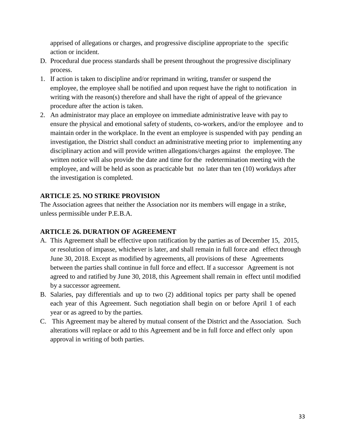apprised of allegations or charges, and progressive discipline appropriate to the specific action or incident.

- D. Procedural due process standards shall be present throughout the progressive disciplinary process.
- 1. If action is taken to discipline and/or reprimand in writing, transfer or suspend the employee, the employee shall be notified and upon request have the right to notification in writing with the reason(s) therefore and shall have the right of appeal of the grievance procedure after the action is taken.
- 2. An administrator may place an employee on immediate administrative leave with pay to ensure the physical and emotional safety of students, co-workers, and/or the employee and to maintain order in the workplace. In the event an employee is suspended with pay pending an investigation, the District shall conduct an administrative meeting prior to implementing any disciplinary action and will provide written allegations/charges against the employee. The written notice will also provide the date and time for the redetermination meeting with the employee, and will be held as soon as practicable but no later than ten (10) workdays after the investigation is completed.

# **ARTICLE 25. NO STRIKE PROVISION**

The Association agrees that neither the Association nor its members will engage in a strike, unless permissible under P.E.B.A.

# **ARTICLE 26. DURATION OF AGREEMENT**

- A. This Agreement shall be effective upon ratification by the parties as of December 15, 2015, or resolution of impasse, whichever is later, and shall remain in full force and effect through June 30, 2018. Except as modified by agreements, all provisions of these Agreements between the parties shall continue in full force and effect. If a successor Agreement is not agreed to and ratified by June 30, 2018, this Agreement shall remain in effect until modified by a successor agreement.
- B. Salaries, pay differentials and up to two (2) additional topics per party shall be opened each year of this Agreement. Such negotiation shall begin on or before April 1 of each year or as agreed to by the parties.
- C. This Agreement may be altered by mutual consent of the District and the Association. Such alterations will replace or add to this Agreement and be in full force and effect only upon approval in writing of both parties.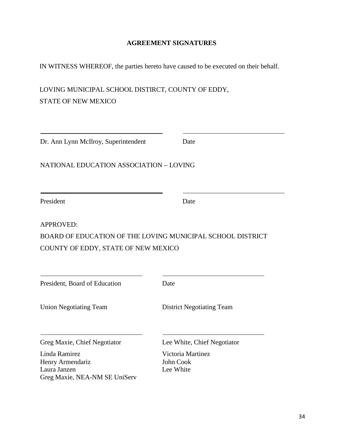#### **AGREEMENT SIGNATURES**

IN WITNESS WHEREOF, the parties hereto have caused to be executed on their behalf.

LOVING MUNICIPAL SCHOOL DISTIRCT, COUNTY OF EDDY, STATE OF NEW MEXICO

| Dr. Ann Lynn McIlroy, Superintendent                                               | Date                                        |  |  |
|------------------------------------------------------------------------------------|---------------------------------------------|--|--|
| NATIONAL EDUCATION ASSOCIATION - LOVING                                            |                                             |  |  |
| President                                                                          | Date                                        |  |  |
| <b>APPROVED:</b>                                                                   |                                             |  |  |
| BOARD OF EDUCATION OF THE LOVING MUNICIPAL SCHOOL DISTRICT                         |                                             |  |  |
| COUNTY OF EDDY, STATE OF NEW MEXICO                                                |                                             |  |  |
| President, Board of Education                                                      | Date                                        |  |  |
| <b>Union Negotiating Team</b>                                                      | <b>District Negotiating Team</b>            |  |  |
| Greg Maxie, Chief Negotiator                                                       | Lee White, Chief Negotiator                 |  |  |
| Linda Ramirez<br>Henry Armendariz<br>Laura Janzen<br>Greg Maxie, NEA-NM SE UniServ | Victoria Martinez<br>John Cook<br>Lee White |  |  |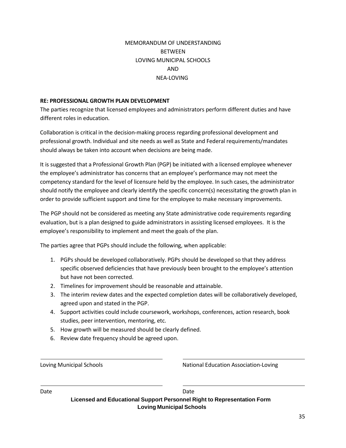# MEMORANDUM OF UNDERSTANDING **BETWEEN** LOVING MUNICIPAL SCHOOLS AND NEA-LOVING

#### **RE: PROFESSIONAL GROWTH PLAN DEVELOPMENT**

The parties recognize that licensed employees and administrators perform different duties and have different roles in education.

Collaboration is critical in the decision-making process regarding professional development and professional growth. Individual and site needs as well as State and Federal requirements/mandates should always be taken into account when decisions are being made.

It is suggested that a Professional Growth Plan (PGP) be initiated with a licensed employee whenever the employee's administrator has concerns that an employee's performance may not meet the competency standard for the level of licensure held by the employee. In such cases, the administrator should notify the employee and clearly identify the specific concern(s) necessitating the growth plan in order to provide sufficient support and time for the employee to make necessary improvements.

The PGP should not be considered as meeting any State administrative code requirements regarding evaluation, but is a plan designed to guide administrators in assisting licensed employees. It is the employee's responsibility to implement and meet the goals of the plan.

The parties agree that PGPs should include the following, when applicable:

- 1. PGPs should be developed collaboratively. PGPs should be developed so that they address specific observed deficiencies that have previously been brought to the employee's attention but have not been corrected.
- 2. Timelines for improvement should be reasonable and attainable.
- 3. The interim review dates and the expected completion dates will be collaboratively developed, agreed upon and stated in the PGP.
- 4. Support activities could include coursework, workshops, conferences, action research, book studies, peer intervention, mentoring, etc.
- 5. How growth will be measured should be clearly defined.
- 6. Review date frequency should be agreed upon.

Loving Municipal Schools National Education Association-Loving

Date **Date** Date **Date** Date **Date** Date

**Licensed and Educational Support Personnel Right to Representation Form Loving Municipal Schools**